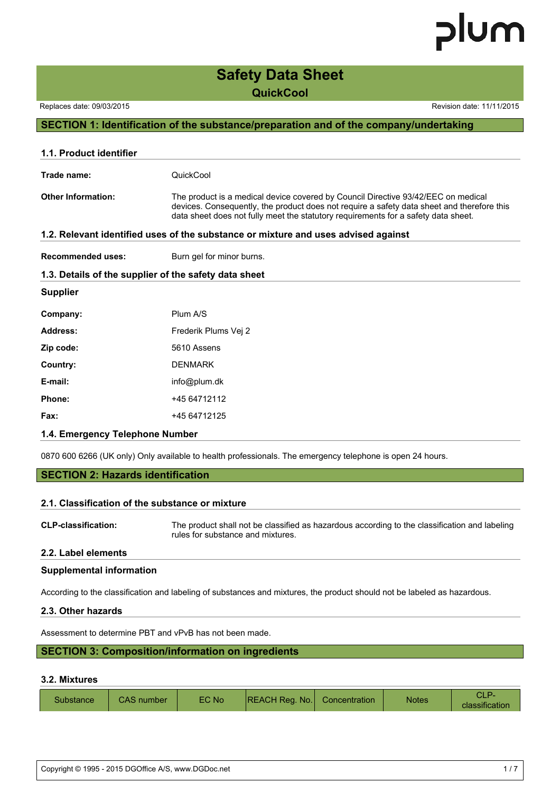### **Safety Data Sheet QuickCool**

Replaces date: 09/03/2015 Replaces date: 09/03/2015

#### **SECTION 1: Identification of the substance/preparation and of the company/undertaking**

| 1.1. Product identifier   |                                                                                                                                                                                                                                                                       |
|---------------------------|-----------------------------------------------------------------------------------------------------------------------------------------------------------------------------------------------------------------------------------------------------------------------|
| Trade name:               | QuickCool                                                                                                                                                                                                                                                             |
| <b>Other Information:</b> | The product is a medical device covered by Council Directive 93/42/EEC on medical<br>devices. Consequently, the product does not require a safety data sheet and therefore this<br>data sheet does not fully meet the statutory requirements for a safety data sheet. |
|                           | 1.2. Relevant identified uses of the substance or mixture and uses advised against                                                                                                                                                                                    |
| <b>Recommended uses:</b>  | Burn gel for minor burns.                                                                                                                                                                                                                                             |
|                           | 1.3. Details of the supplier of the safety data sheet                                                                                                                                                                                                                 |
| <b>Supplier</b>           |                                                                                                                                                                                                                                                                       |
| Company:                  | Plum A/S                                                                                                                                                                                                                                                              |
| Address:                  | Frederik Plums Vei 2                                                                                                                                                                                                                                                  |
| Zip code:                 | 5610 Assens                                                                                                                                                                                                                                                           |
| Country:                  | <b>DENMARK</b>                                                                                                                                                                                                                                                        |
| E-mail:                   | info@plum.dk                                                                                                                                                                                                                                                          |
| Phone:                    | +45 64712112                                                                                                                                                                                                                                                          |
| Fax:                      | +45 64712125                                                                                                                                                                                                                                                          |
|                           |                                                                                                                                                                                                                                                                       |

#### **1.4. Emergency Telephone Number**

0870 600 6266 (UK only) Only available to health professionals. The emergency telephone is open 24 hours.

#### **SECTION 2: Hazards identification**

#### **2.1. Classification of the substance or mixture**

**CLP-classification:** The product shall not be classified as hazardous according to the classification and labeling rules for substance and mixtures.

#### **2.2. Label elements**

#### **Supplemental information**

According to the classification and labeling of substances and mixtures, the product should not be labeled as hazardous.

#### **2.3. Other hazards**

Assessment to determine PBT and vPvB has not been made.

#### **SECTION 3: Composition/information on ingredients**

#### **3.2. Mixtures**

| Substance | <b>CAS</b> number | EC No | <b>REACH Reg. No.</b> Concentration |  | <b>Notes</b> | classification |
|-----------|-------------------|-------|-------------------------------------|--|--------------|----------------|
|-----------|-------------------|-------|-------------------------------------|--|--------------|----------------|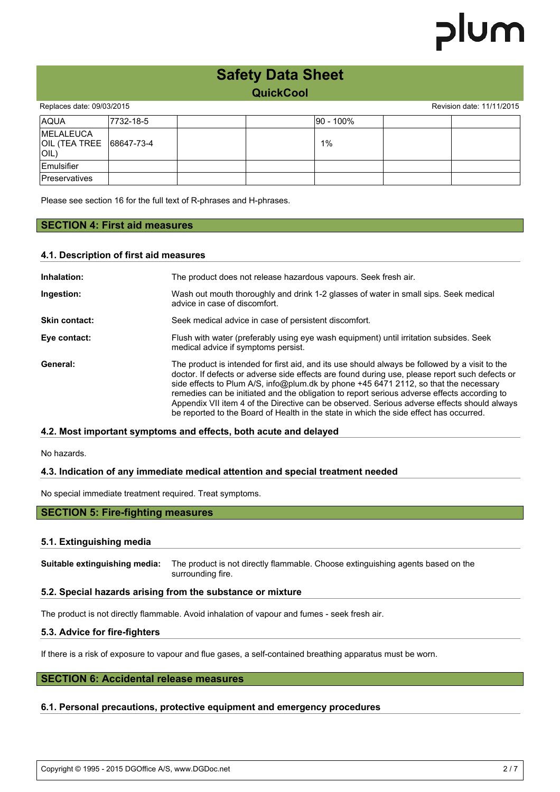|                                                |            | <b>Safety Data Sheet</b><br><b>QuickCool</b> |            |                           |
|------------------------------------------------|------------|----------------------------------------------|------------|---------------------------|
| Replaces date: 09/03/2015                      |            |                                              |            | Revision date: 11/11/2015 |
| <b>AQUA</b>                                    | 17732-18-5 |                                              | 190 - 100% |                           |
| <b>IMELALEUCA</b><br>OIL (TEA TREE<br>$ O $ L) | 68647-73-4 |                                              | 1%         |                           |

Please see section 16 for the full text of R-phrases and H-phrases.

### **SECTION 4: First aid measures**

#### **4.1. Description of first aid measures**

| Inhalation:   | The product does not release hazardous vapours. Seek fresh air.                                                                                                                                                                                                                                                                                                                                                                                                                                                                                                                  |  |  |
|---------------|----------------------------------------------------------------------------------------------------------------------------------------------------------------------------------------------------------------------------------------------------------------------------------------------------------------------------------------------------------------------------------------------------------------------------------------------------------------------------------------------------------------------------------------------------------------------------------|--|--|
| Ingestion:    | Wash out mouth thoroughly and drink 1-2 glasses of water in small sips. Seek medical<br>advice in case of discomfort.                                                                                                                                                                                                                                                                                                                                                                                                                                                            |  |  |
| Skin contact: | Seek medical advice in case of persistent discomfort.                                                                                                                                                                                                                                                                                                                                                                                                                                                                                                                            |  |  |
| Eye contact:  | Flush with water (preferably using eye wash equipment) until irritation subsides. Seek<br>medical advice if symptoms persist.                                                                                                                                                                                                                                                                                                                                                                                                                                                    |  |  |
| General:      | The product is intended for first aid, and its use should always be followed by a visit to the<br>doctor. If defects or adverse side effects are found during use, please report such defects or<br>side effects to Plum A/S, info@plum.dk by phone +45 6471 2112, so that the necessary<br>remedies can be initiated and the obligation to report serious adverse effects according to<br>Appendix VII item 4 of the Directive can be observed. Serious adverse effects should always<br>be reported to the Board of Health in the state in which the side effect has occurred. |  |  |

#### **4.2. Most important symptoms and effects, both acute and delayed**

No hazards.

Emulsifier Preservatives

#### **4.3. Indication of any immediate medical attention and special treatment needed**

No special immediate treatment required. Treat symptoms.

#### **SECTION 5: Fire-fighting measures**

#### **5.1. Extinguishing media**

**Suitable extinguishing media:** The product is not directly flammable. Choose extinguishing agents based on the surrounding fire.

#### **5.2. Special hazards arising from the substance or mixture**

The product is not directly flammable. Avoid inhalation of vapour and fumes - seek fresh air.

#### **5.3. Advice for fire-fighters**

If there is a risk of exposure to vapour and flue gases, a self-contained breathing apparatus must be worn.

#### **SECTION 6: Accidental release measures**

#### **6.1. Personal precautions, protective equipment and emergency procedures**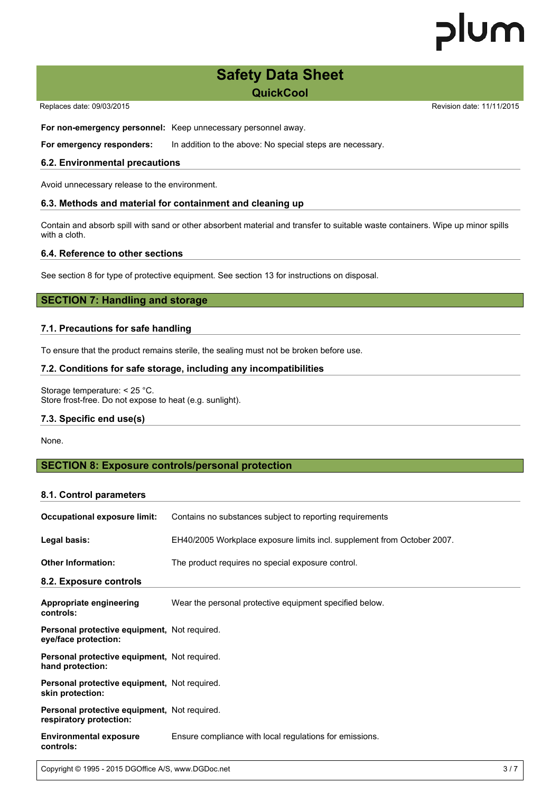### **Safety Data Sheet QuickCool**

Replaces date: 09/03/2015 **Replaces** date: 09/03/2015

**For non-emergency personnel:** Keep unnecessary personnel away.

**For emergency responders:** In addition to the above: No special steps are necessary.

#### **6.2. Environmental precautions**

Avoid unnecessary release to the environment.

#### **6.3. Methods and material for containment and cleaning up**

Contain and absorb spill with sand or other absorbent material and transfer to suitable waste containers. Wipe up minor spills with a cloth.

#### **6.4. Reference to other sections**

See section 8 for type of protective equipment. See section 13 for instructions on disposal.

#### **SECTION 7: Handling and storage**

#### **7.1. Precautions for safe handling**

To ensure that the product remains sterile, the sealing must not be broken before use.

#### **7.2. Conditions for safe storage, including any incompatibilities**

Storage temperature: < 25 °C. Store frost-free. Do not expose to heat (e.g. sunlight).

#### **7.3. Specific end use(s)**

None.

#### **SECTION 8: Exposure controls/personal protection**

#### **8.1. Control parameters**

| <b>Occupational exposure limit:</b>                                     | Contains no substances subject to reporting requirements                |  |  |
|-------------------------------------------------------------------------|-------------------------------------------------------------------------|--|--|
| Legal basis:                                                            | EH40/2005 Workplace exposure limits incl. supplement from October 2007. |  |  |
| <b>Other Information:</b>                                               | The product requires no special exposure control.                       |  |  |
| 8.2. Exposure controls                                                  |                                                                         |  |  |
| Appropriate engineering<br>controls:                                    | Wear the personal protective equipment specified below.                 |  |  |
| Personal protective equipment, Not required.<br>eye/face protection:    |                                                                         |  |  |
| Personal protective equipment, Not required.<br>hand protection:        |                                                                         |  |  |
| Personal protective equipment, Not required.<br>skin protection:        |                                                                         |  |  |
| Personal protective equipment, Not required.<br>respiratory protection: |                                                                         |  |  |
| <b>Environmental exposure</b><br>controls:                              | Ensure compliance with local regulations for emissions.                 |  |  |

Copyright © 1995 - 2015 DGOffice A/S, www.DGDoc.net 3 3 / 7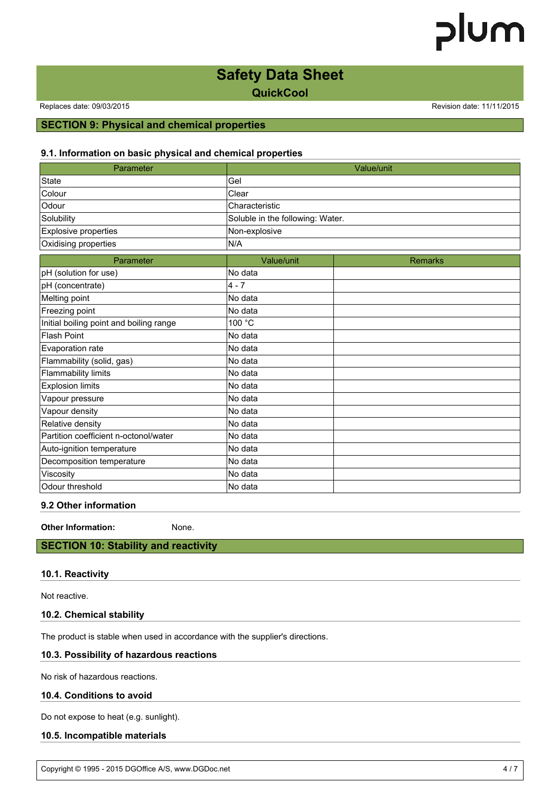### **Safety Data Sheet**

**QuickCool**

Replaces date: 09/03/2015 **Replaces** date: 09/03/2015

#### **SECTION 9: Physical and chemical properties**

#### **9.1. Information on basic physical and chemical properties**

| Parameter                               |                                  | Value/unit     |
|-----------------------------------------|----------------------------------|----------------|
| <b>State</b>                            | Gel                              |                |
| Colour                                  | Clear                            |                |
| Odour                                   | Characteristic                   |                |
| Solubility                              | Soluble in the following: Water. |                |
| <b>Explosive properties</b>             | Non-explosive                    |                |
| Oxidising properties                    | N/A                              |                |
| Parameter                               | Value/unit                       | <b>Remarks</b> |
| pH (solution for use)                   | No data                          |                |
| pH (concentrate)                        | $4 - 7$                          |                |
| Melting point                           | No data                          |                |
| Freezing point                          | No data                          |                |
| Initial boiling point and boiling range | 100 °C                           |                |
| <b>Flash Point</b>                      | No data                          |                |
| Evaporation rate                        | No data                          |                |
| Flammability (solid, gas)               | No data                          |                |
| <b>Flammability limits</b>              | No data                          |                |
| <b>Explosion limits</b>                 | No data                          |                |
| Vapour pressure                         | No data                          |                |
| Vapour density                          | No data                          |                |
| Relative density                        | No data                          |                |
| Partition coefficient n-octonol/water   | No data                          |                |
| Auto-ignition temperature               | No data                          |                |
| Decomposition temperature               | No data                          |                |
| Viscosity                               | No data                          |                |
| Odour threshold                         | No data                          |                |

#### **9.2 Other information**

**Other Information:** None.

**SECTION 10: Stability and reactivity**

#### **10.1. Reactivity**

Not reactive.

#### **10.2. Chemical stability**

The product is stable when used in accordance with the supplier's directions.

#### **10.3. Possibility of hazardous reactions**

No risk of hazardous reactions.

#### **10.4. Conditions to avoid**

Do not expose to heat (e.g. sunlight).

#### **10.5. Incompatible materials**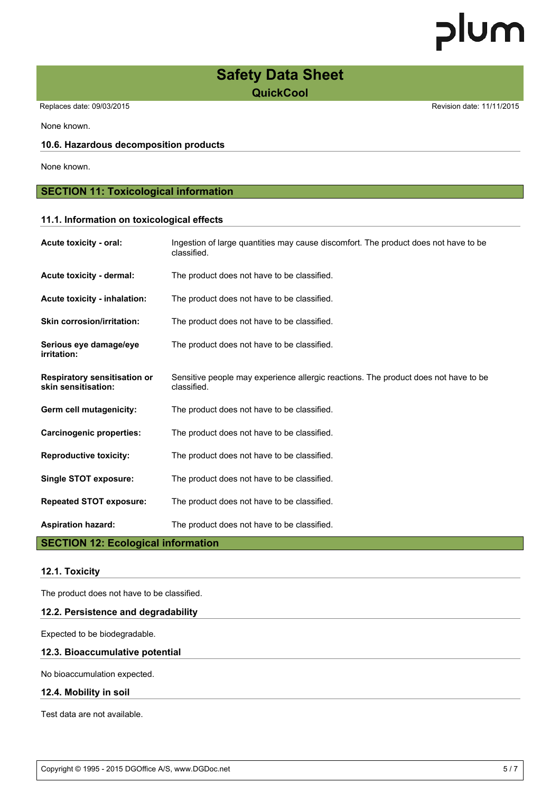### **Safety Data Sheet QuickCool**

Replaces date: 09/03/2015 **Replaces** date: 09/03/2015

None known.

#### **10.6. Hazardous decomposition products**

None known.

#### **SECTION 11: Toxicological information**

#### **11.1. Information on toxicological effects**

| Acute toxicity - oral:                                                      | Ingestion of large quantities may cause discomfort. The product does not have to be<br>classified. |
|-----------------------------------------------------------------------------|----------------------------------------------------------------------------------------------------|
| Acute toxicity - dermal:                                                    | The product does not have to be classified.                                                        |
| Acute toxicity - inhalation:                                                | The product does not have to be classified.                                                        |
| <b>Skin corrosion/irritation:</b>                                           | The product does not have to be classified.                                                        |
| Serious eye damage/eye<br>irritation:                                       | The product does not have to be classified.                                                        |
| <b>Respiratory sensitisation or</b><br>skin sensitisation:                  | Sensitive people may experience allergic reactions. The product does not have to be<br>classified. |
| Germ cell mutagenicity:                                                     | The product does not have to be classified.                                                        |
| <b>Carcinogenic properties:</b>                                             | The product does not have to be classified.                                                        |
| <b>Reproductive toxicity:</b>                                               | The product does not have to be classified.                                                        |
| Single STOT exposure:                                                       | The product does not have to be classified.                                                        |
| <b>Repeated STOT exposure:</b>                                              | The product does not have to be classified.                                                        |
| <b>Aspiration hazard:</b><br><b>State State State</b><br><b>APARIALIA P</b> | The product does not have to be classified.                                                        |

#### **SECTION 12: Ecological information**

#### **12.1. Toxicity**

The product does not have to be classified.

#### **12.2. Persistence and degradability**

Expected to be biodegradable.

#### **12.3. Bioaccumulative potential**

No bioaccumulation expected.

#### **12.4. Mobility in soil**

Test data are not available.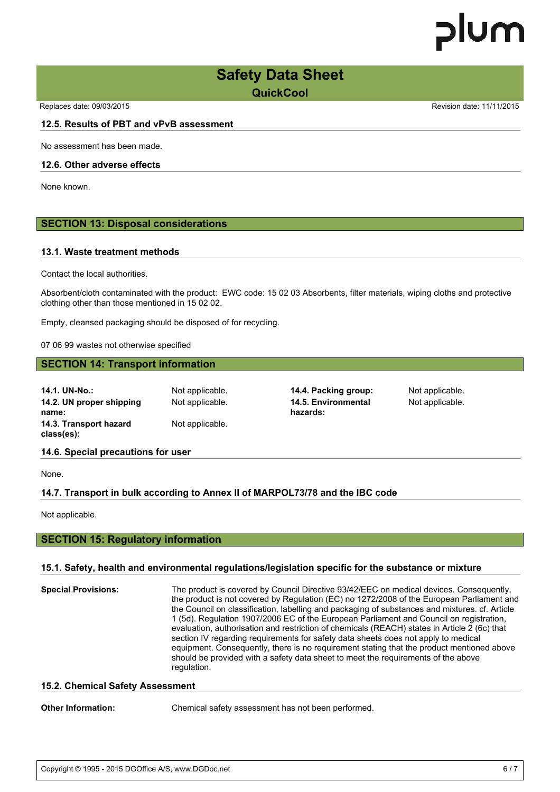### **Safety Data Sheet QuickCool**

Replaces date: 09/03/2015 **Replaces** date: 09/03/2015

#### **12.5. Results of PBT and vPvB assessment**

No assessment has been made.

#### **12.6. Other adverse effects**

None known.

#### **SECTION 13: Disposal considerations**

#### **13.1. Waste treatment methods**

Contact the local authorities.

Absorbent/cloth contaminated with the product: EWC code: 15 02 03 Absorbents, filter materials, wiping cloths and protective clothing other than those mentioned in 15 02 02.

Empty, cleansed packaging should be disposed of for recycling.

07 06 99 wastes not otherwise specified

#### **SECTION 14: Transport information**

| 14.1. UN-No.:                        | Not applicable. | 14.4. Packing group:            | Not applicable. |
|--------------------------------------|-----------------|---------------------------------|-----------------|
| 14.2. UN proper shipping<br>name:    | Not applicable. | 14.5. Environmental<br>hazards: | Not applicable. |
| 14.3. Transport hazard<br>class(es): | Not applicable. |                                 |                 |
| 14.6. Special precautions for user   |                 |                                 |                 |

None.

#### **14.7. Transport in bulk according to Annex II of MARPOL73/78 and the IBC code**

Not applicable.

#### **SECTION 15: Regulatory information**

#### **15.1. Safety, health and environmental regulations/legislation specific for the substance or mixture**

| <b>Special Provisions:</b> | The product is covered by Council Directive 93/42/EEC on medical devices. Consequently,<br>the product is not covered by Regulation (EC) no 1272/2008 of the European Parliament and<br>the Council on classification, labelling and packaging of substances and mixtures. cf. Article<br>1 (5d). Regulation 1907/2006 EC of the European Parliament and Council on registration,<br>evaluation, authorisation and restriction of chemicals (REACH) states in Article 2 (6c) that<br>section IV regarding requirements for safety data sheets does not apply to medical<br>equipment. Consequently, there is no requirement stating that the product mentioned above<br>should be provided with a safety data sheet to meet the requirements of the above<br>regulation. |
|----------------------------|--------------------------------------------------------------------------------------------------------------------------------------------------------------------------------------------------------------------------------------------------------------------------------------------------------------------------------------------------------------------------------------------------------------------------------------------------------------------------------------------------------------------------------------------------------------------------------------------------------------------------------------------------------------------------------------------------------------------------------------------------------------------------|
|----------------------------|--------------------------------------------------------------------------------------------------------------------------------------------------------------------------------------------------------------------------------------------------------------------------------------------------------------------------------------------------------------------------------------------------------------------------------------------------------------------------------------------------------------------------------------------------------------------------------------------------------------------------------------------------------------------------------------------------------------------------------------------------------------------------|

#### **15.2. Chemical Safety Assessment**

**Other Information:** Chemical safety assessment has not been performed.